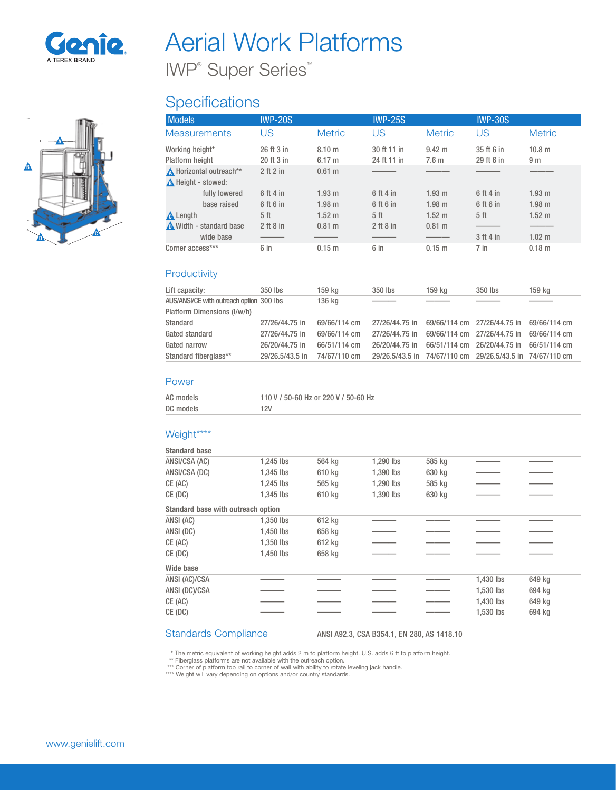

A

 $\blacksquare$ 

B

# Aerial Work Platforms

IWP® Super Series™

## **Specifications**

| <b>Models</b>           | <b>IWP-20S</b>  |                   | <b>IWP-25S</b>  |                  | <b>IWP-30S</b>  |                   |
|-------------------------|-----------------|-------------------|-----------------|------------------|-----------------|-------------------|
| <b>Measurements</b>     | US              | <b>Metric</b>     | US              | <b>Metric</b>    | US              | <b>Metric</b>     |
| Working height*         | 26 ft 3 in      | 8.10 <sub>m</sub> | 30 ft 11 in     | $9.42 \text{ m}$ | 35 ft 6 in      | 10.8 <sub>m</sub> |
| Platform height         | 20 ft 3 in      | $6.17 \text{ m}$  | 24 ft 11 in     | 7.6 <sub>m</sub> | 29 ft 6 in      | 9 <sub>m</sub>    |
| A Horizontal outreach** | $2$ ft $2$ in   | $0.61 \text{ m}$  |                 |                  |                 |                   |
| A Height - stowed:      |                 |                   |                 |                  |                 |                   |
| fully lowered           | 6 ft 4 in       | 1.93 m            | 6 ft 4 in       | 1.93 m           | 6 ft 4 in       | 1.93 m            |
| base raised             | 6 ft 6 in       | 1.98 m            | 6 ft 6 in       | $1.98$ m         | 6 ft 6 in       | 1.98 m            |
| <b>A</b> Length         | 5 <sub>ft</sub> | $1.52 \text{ m}$  | 5 <sup>th</sup> | $1.52 \text{ m}$ | 5 <sup>th</sup> | $1.52 \text{ m}$  |
| Width - standard base   | $2$ ft $8$ in   | $0.81 \;{\rm m}$  | 2 ft 8 in       | $0.81$ m         |                 |                   |
| wide base               |                 |                   |                 |                  | 3 ft 4 in       | $1.02 \text{ m}$  |
| Corner access***        | 6 in            | $0.15$ m          | 6 in            | 0.15 m           | $7$ in          | $0.18$ m          |

#### **Productivity**

| Lift capacity:                           | 350 lbs         | 159 ka       | 350 lbs                                                   | 159 ka                      | 350 lbs                     | 159 ka       |
|------------------------------------------|-----------------|--------------|-----------------------------------------------------------|-----------------------------|-----------------------------|--------------|
| AUS/ANSI/CE with outreach option 300 lbs |                 | 136 kg       |                                                           |                             |                             |              |
| Platform Dimensions (I/w/h)              |                 |              |                                                           |                             |                             |              |
| Standard                                 | 27/26/44.75 in  | 69/66/114 cm | 27/26/44.75 in                                            | 69/66/114 cm 27/26/44.75 in |                             | 69/66/114 cm |
| Gated standard                           | 27/26/44.75 in  | 69/66/114 cm | 27/26/44.75 in                                            | 69/66/114 cm 27/26/44.75 in |                             | 69/66/114 cm |
| Gated narrow                             | 26/20/44.75 in  | 66/51/114 cm | 26/20/44.75 in                                            |                             | 66/51/114 cm 26/20/44.75 in | 66/51/114 cm |
| Standard fiberglass**                    | 29/26.5/43.5 in | 74/67/110 cm | 29/26.5/43.5 in 74/67/110 cm 29/26.5/43.5 in 74/67/110 cm |                             |                             |              |

#### Power

| AC models | 110 V / 50-60 Hz or 220 V / 50-60 Hz |
|-----------|--------------------------------------|
| DC models | 12V                                  |

#### Weight\*\*\*\*

| <b>Standard base</b>                      |           |        |           |        |           |        |  |
|-------------------------------------------|-----------|--------|-----------|--------|-----------|--------|--|
| ANSI/CSA (AC)                             | 1,245 lbs | 564 kg | 1,290 lbs | 585 kg |           |        |  |
| ANSI/CSA (DC)                             | 1,345 lbs | 610 kg | 1,390 lbs | 630 kg |           |        |  |
| CE (AC)                                   | 1.245 lbs | 565 kg | 1.290 lbs | 585 kg |           |        |  |
| CE (DC)                                   | 1,345 lbs | 610 kg | 1,390 lbs | 630 kg |           |        |  |
| <b>Standard base with outreach option</b> |           |        |           |        |           |        |  |
| ANSI (AC)                                 | 1,350 lbs | 612 kg |           |        |           |        |  |
| ANSI (DC)                                 | 1,450 lbs | 658 kg |           |        |           |        |  |
| CE (AC)                                   | 1.350 lbs | 612 kg |           |        |           |        |  |
| CE (DC)                                   | 1,450 lbs | 658 kg |           |        |           |        |  |
| <b>Wide base</b>                          |           |        |           |        |           |        |  |
| ANSI (AC)/CSA                             |           |        |           |        | 1,430 lbs | 649 kg |  |
| ANSI (DC)/CSA                             |           |        |           |        | 1.530 lbs | 694 kg |  |
| CE (AC)                                   |           |        |           |        | 1.430 lbs | 649 kg |  |
| CE (DC)                                   |           |        |           |        | 1,530 lbs | 694 kg |  |

#### Standards Compliance ANSI A92.3, CSA B354.1, EN 280, AS 1418.10

\* The metric equivalent of working height adds 2 m to platform height. U.S. adds 6 ft to platform height.

\*\* Fiberglass platforms are not available with the outreach option.<br>\*\*\* Corner of platform top rail to corner of wall with ability to rotate leveling jack handle.<br>\*\*\*\* Weight will vary depending on options and/or country s